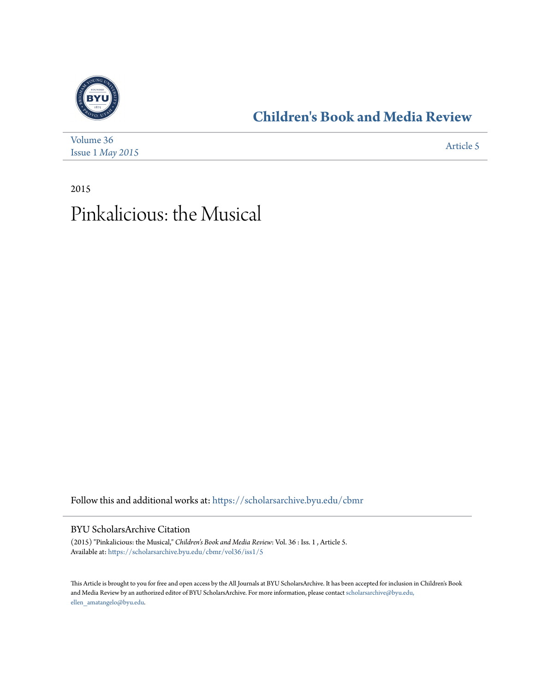

## **[Children's Book and Media Review](https://scholarsarchive.byu.edu/cbmr?utm_source=scholarsarchive.byu.edu%2Fcbmr%2Fvol36%2Fiss1%2F5&utm_medium=PDF&utm_campaign=PDFCoverPages)**

| Volume 36                 | Article 5 |
|---------------------------|-----------|
| Issue $1$ <i>May</i> 2015 |           |

2015 Pinkalicious: the Musical

Follow this and additional works at: [https://scholarsarchive.byu.edu/cbmr](https://scholarsarchive.byu.edu/cbmr?utm_source=scholarsarchive.byu.edu%2Fcbmr%2Fvol36%2Fiss1%2F5&utm_medium=PDF&utm_campaign=PDFCoverPages)

BYU ScholarsArchive Citation

(2015) "Pinkalicious: the Musical," *Children's Book and Media Review*: Vol. 36 : Iss. 1 , Article 5. Available at: [https://scholarsarchive.byu.edu/cbmr/vol36/iss1/5](https://scholarsarchive.byu.edu/cbmr/vol36/iss1/5?utm_source=scholarsarchive.byu.edu%2Fcbmr%2Fvol36%2Fiss1%2F5&utm_medium=PDF&utm_campaign=PDFCoverPages)

This Article is brought to you for free and open access by the All Journals at BYU ScholarsArchive. It has been accepted for inclusion in Children's Book and Media Review by an authorized editor of BYU ScholarsArchive. For more information, please contact [scholarsarchive@byu.edu,](mailto:scholarsarchive@byu.edu,%20ellen_amatangelo@byu.edu) [ellen\\_amatangelo@byu.edu.](mailto:scholarsarchive@byu.edu,%20ellen_amatangelo@byu.edu)